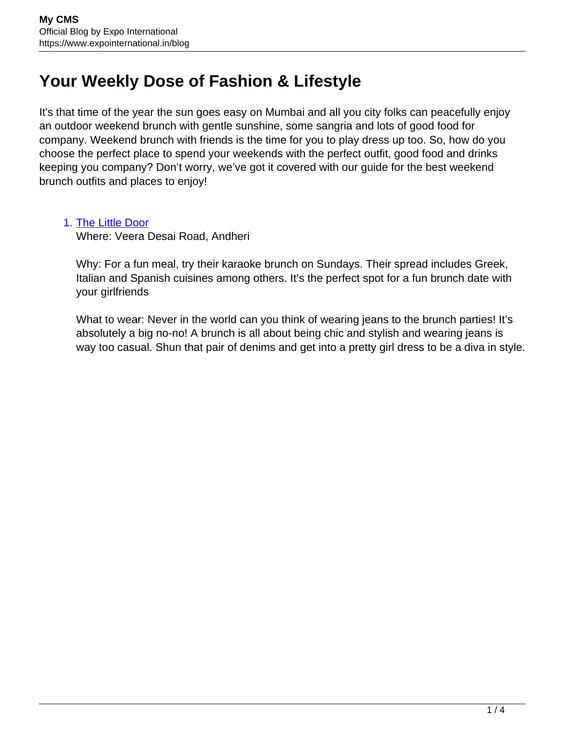## **Your Weekly Dose of Fashion & Lifestyle**

It's that time of the year the sun goes easy on Mumbai and all you city folks can peacefully enjoy an outdoor weekend brunch with gentle sunshine, some sangria and lots of good food for company. Weekend brunch with friends is the time for you to play dress up too. So, how do you choose the perfect place to spend your weekends with the perfect outfit, good food and drinks keeping you company? Don't worry, we've got it covered with our guide for the best weekend brunch outfits and places to enjoy!

## 1. [The Little Door](https://www.facebook.com/ilovetld/)

Where: Veera Desai Road, Andheri

Why: For a fun meal, try their karaoke brunch on Sundays. Their spread includes Greek, Italian and Spanish cuisines among others. It's the perfect spot for a fun brunch date with your girlfriends

What to wear: Never in the world can you think of wearing jeans to the brunch parties! It's absolutely a big no-no! A brunch is all about being chic and stylish and wearing jeans is way too casual. Shun that pair of denims and get into a pretty girl dress to be a diva in style.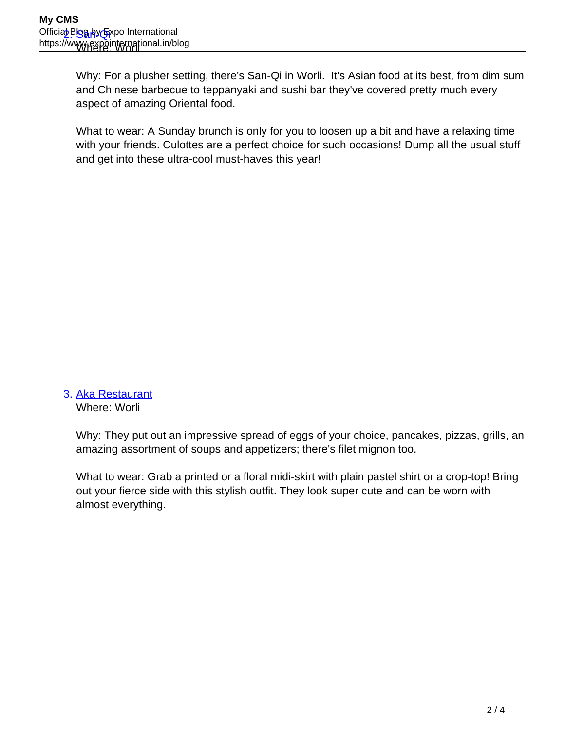Why: For a plusher setting, there's San-Qi in Worli. It's Asian food at its best, from dim sum and Chinese barbecue to teppanyaki and sushi bar they've covered pretty much every aspect of amazing Oriental food.

What to wear: A Sunday brunch is only for you to loosen up a bit and have a relaxing time with your friends. Culottes are a perfect choice for such occasions! Dump all the usual stuff and get into these ultra-cool must-haves this year!

## 3. [Aka Restaurant](https://www.facebook.com/AkaBistroMumbai/)

Where: Worli

Why: They put out an impressive spread of eggs of your choice, pancakes, pizzas, grills, an amazing assortment of soups and appetizers; there's filet mignon too.

What to wear: Grab a printed or a floral midi-skirt with plain pastel shirt or a crop-top! Bring out your fierce side with this stylish outfit. They look super cute and can be worn with almost everything.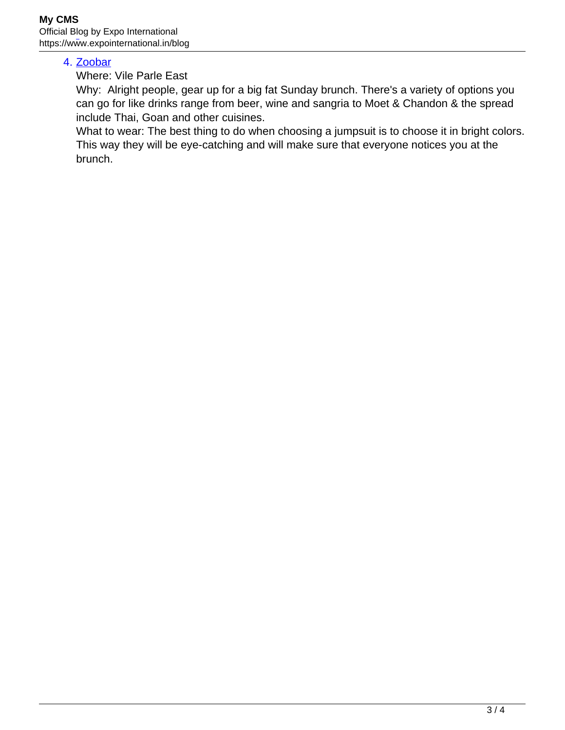## 4. [Zoobar](https://www.facebook.com/zoobarindia/)

Where: Vile Parle East

Why: Alright people, gear up for a big fat Sunday brunch. There's a variety of options you can go for like drinks range from beer, wine and sangria to Moet & Chandon & the spread include Thai, Goan and other cuisines.

What to wear: The best thing to do when choosing a jumpsuit is to choose it in bright colors. This way they will be eye-catching and will make sure that everyone notices you at the brunch.